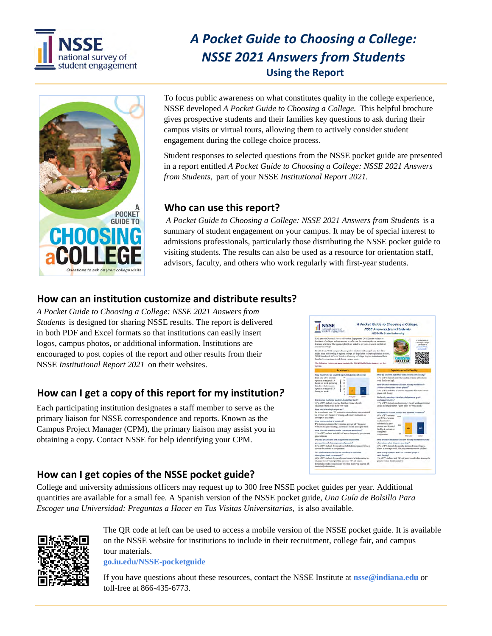

# *A Pocket Guide to Choosing a College: NSSE 2021 Answers from Students* **Using the Report**



To focus public awareness on what constitutes quality in the college experience, NSSE developed *A Pocket Guide to Choosing a College.* This helpful brochure gives prospective students and their families key questions to ask during their campus visits or virtual tours, allowing them to actively consider student engagement during the college choice process.

Student responses to selected questions from the NSSE pocket guide are presented in a report entitled *A Pocket Guide to Choosing a College: NSSE 2021 Answers from Students,* part of your NSSE *Institutional Report 2021.* 

## **Who can use this report?**

 *A Pocket Guide to Choosing a College: NSSE 2021 Answers from Students* is a summary of student engagement on your campus. It may be of special interest to admissions professionals, particularly those distributing the NSSE pocket guide to visiting students. The results can also be used as a resource for orientation staff, advisors, faculty, and others who work regularly with first-year students.

# **How can an institution customize and distribute results?**

*A Pocket Guide to Choosing a College: NSSE 2021 Answers from Students* is designed for sharing NSSE results. The report is delivered in both PDF and Excel formats so that institutions can easily insert logos, campus photos, or additional information. Institutions are encouraged to post copies of the report and other results from their NSSE *Institutional Report 2021* on their websites.

# **How can I get a copy of this report for my institution***?*

Each participating institution designates a staff member to serve as the primary liaison for NSSE correspondence and reports. Known as the Campus Project Manager (CPM), the primary liaison may assist you in obtaining a copy. Contact NSSE for help identifying your CPM.



## **How can I get copies of the NSSE pocket guide?**

College and university admissions officers may request up to 300 free NSSE pocket guides per year. Additional quantities are available for a small fee. A Spanish version of the NSSE pocket guide, *Una Guía de Bolsillo Para Escoger una Universidad: Preguntas a Hacer en Tus Visitas Universitarias,* is also available.



The QR code at left can be used to access a mobile version of the NSSE pocket guide. It is available on the NSSE website for institutions to include in their recruitment, college fair, and campus tour materials.

**go.iu.edu/NSSE-pocketguide**

If you have questions about these resources, contact the NSSE Institute at **nsse@indiana.edu** or toll-free at 866-435-6773.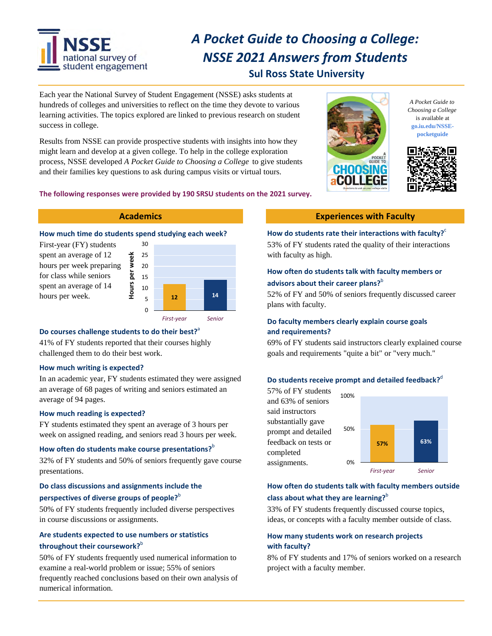

# *A Pocket Guide to Choosing a College: NSSE 2021 Answers from Students* **Sul Ross State University**

Each year the National Survey of Student Engagement (NSSE) asks students at hundreds of colleges and universities to reflect on the time they devote to various learning activities. The topics explored are linked to previous research on student success in college.

Results from NSSE can provide prospective students with insights into how they might learn and develop at a given college. To help in the college exploration process, NSSE developed *A Pocket Guide to Choosing a College* to give students and their families key questions to ask during campus visits or virtual tours.



*A Pocket Guide to Choosing a College* is available at **go.iu.edu/NSSEpocketguide**



#### **The following responses were provided by 190 SRSU students on the 2021 survey.**

### **How much time do students spend studying each week?**

**Hours per week**

First-year (FY) students spent an average of 12 hours per week preparing for class while seniors spent an average of 14 spent an average of 14  $\frac{12}{2}$  **10**  $\frac{12}{12}$  **14** 



#### **Do courses challenge students to do their best?**<sup>a</sup>

41% of FY students reported that their courses highly challenged them to do their best work.

#### **How much writing is expected?**

In an academic year, FY students estimated they were assigned an average of 68 pages of writing and seniors estimated an average of 94 pages.

#### **How much reading is expected?**

FY students estimated they spent an average of 3 hours per week on assigned reading, and seniors read 3 hours per week.

#### **How often do students make course presentations?**<sup>b</sup>

32% of FY students and 50% of seniors frequently gave course presentations.

### **Do class discussions and assignments include the perspectives of diverse groups of people?**<sup>b</sup>

50% of FY students frequently included diverse perspectives in course discussions or assignments.

### **Are students expected to use numbers or statistics throughout their coursework?**<sup>b</sup>

50% of FY students frequently used numerical information to examine a real-world problem or issue; 55% of seniors frequently reached conclusions based on their own analysis of numerical information.

#### **Academics Experiences with Faculty**

#### **How do students rate their interactions with faculty?**<sup>c</sup>

53% of FY students rated the quality of their interactions with faculty as high.

#### **How often do students talk with faculty members or advisors about their career plans?**<sup>b</sup>

52% of FY and 50% of seniors frequently discussed career plans with faculty.

#### **Do faculty members clearly explain course goals and requirements?**

69% of FY students said instructors clearly explained course goals and requirements "quite a bit" or "very much."

#### **Do students receive prompt and detailed feedback?**<sup>d</sup>

57% of FY students and 63% of seniors said instructors substantially gave prompt and detailed feedback on tests or completed assignments. **57% 63%** 0% 50% 100% *First‐year Senior*

#### **How often do students talk with faculty members outside class about what they are learning?**<sup>b</sup>

33% of FY students frequently discussed course topics, ideas, or concepts with a faculty member outside of class.

#### **How many students work on research projects with faculty?**

8% of FY students and 17% of seniors worked on a research project with a faculty member.